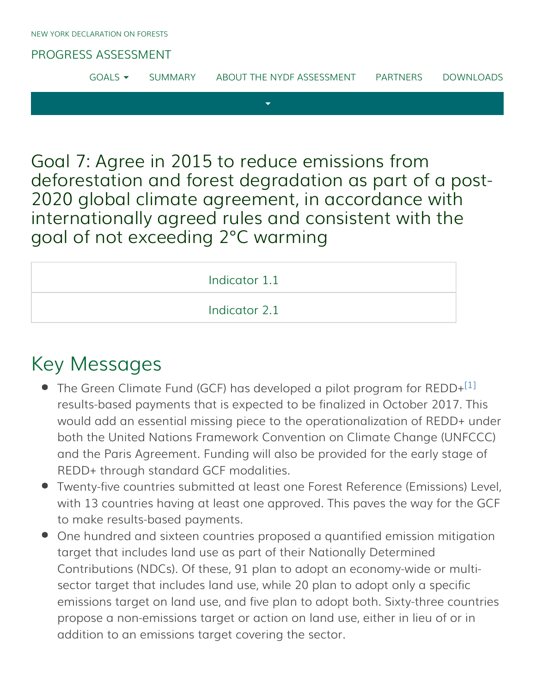#### [PROGRESS ASSESSMENT](http://www.forestdeclaration.org/)

[GOALS](http://www.forestdeclaration.org/goals/)  $\bullet$  [SUMMARY](http://www.forestdeclaration.org/summary/) [ABOUT THE NYDF ASSESSMENT](http://www.forestdeclaration.org/about/) [PARTNERS](http://www.forestdeclaration.org/partners/) [DOWNLOADS](http://www.forestdeclaration.org/downloads/)

 $\overline{\mathbf{v}}$ 

Goal 7: Agree in 2015 to reduce emissions from deforestation and forest degradation as part of a post-2020 global climate agreement, in accordance with internationally agreed rules and consistent with the goal of not exceeding 2°C warming

| Indicator 1.1 |  |
|---------------|--|
| Indicator 2.1 |  |

## <span id="page-0-0"></span>Key Messages

- The Green Climate Fund (GCF) has developed a pilot program for REDD+ $^{\left[1\right]}$ results-based payments that is expected to be finalized in October 2017. This would add an essential missing piece to the operationalization of REDD+ under both the United Nations Framework Convention on Climate Change (UNFCCC) and the Paris Agreement. Funding will also be provided for the early stage of REDD+ through standard GCF modalities.
- Twenty-five countries submitted at least one Forest Reference (Emissions) Level, with 13 countries having at least one approved. This paves the way for the GCF to make results-based payments.
- One hundred and sixteen countries proposed a quantified emission mitigation target that includes land use as part of their Nationally Determined Contributions (NDCs). Of these, 91 plan to adopt an economy-wide or multisector target that includes land use, while 20 plan to adopt only a specific emissions target on land use, and five plan to adopt both. Sixty-three countries propose a non-emissions target or action on land use, either in lieu of or in addition to an emissions target covering the sector.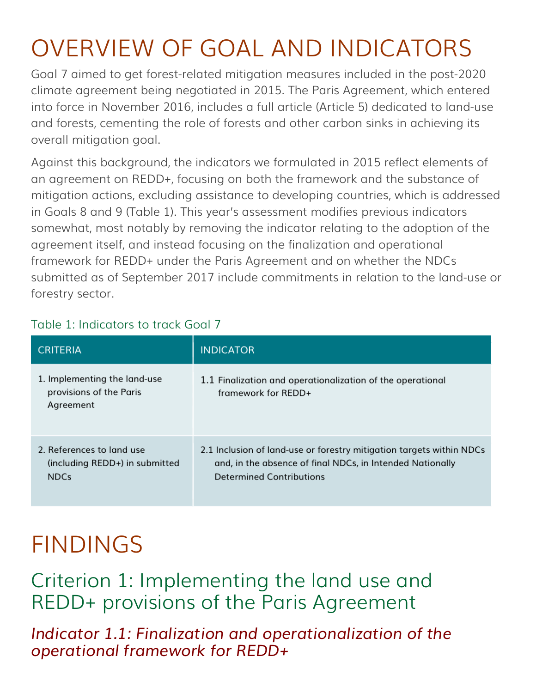# OVERVIEW OF GOAL AND INDICATORS

Goal 7 aimed to get forest-related mitigation measures included in the post-2020 climate agreement being negotiated in 2015. The Paris Agreement, which entered into force in November 2016, includes a full article (Article 5) dedicated to land-use and forests, cementing the role of forests and other carbon sinks in achieving its overall mitigation goal.

Against this background, the indicators we formulated in 2015 reflect elements of an agreement on REDD+, focusing on both the framework and the substance of mitigation actions, excluding assistance to developing countries, which is addressed in Goals 8 and 9 (Table 1). This year's assessment modifies previous indicators somewhat, most notably by removing the indicator relating to the adoption of the agreement itself, and instead focusing on the finalization and operational framework for REDD+ under the Paris Agreement and on whether the NDCs submitted as of September 2017 include commitments in relation to the land-use or forestry sector.

| <b>CRITERIA</b>                                                            | <b>INDICATOR</b>                                                                                                                                                     |
|----------------------------------------------------------------------------|----------------------------------------------------------------------------------------------------------------------------------------------------------------------|
| 1. Implementing the land-use<br>provisions of the Paris<br>Agreement       | 1.1 Finalization and operationalization of the operational<br>framework for REDD+                                                                                    |
| 2. References to land use<br>(including REDD+) in submitted<br><b>NDCs</b> | 2.1 Inclusion of land-use or forestry mitigation targets within NDCs<br>and, in the absence of final NDCs, in Intended Nationally<br><b>Determined Contributions</b> |

### Table 1: Indicators to track Goal 7

## FINDINGS

Criterion 1: Implementing the land use and REDD+ provisions of the Paris Agreement

<span id="page-1-0"></span>*Indicator 1.1: Finalization and operationalization of the operational framework for REDD+*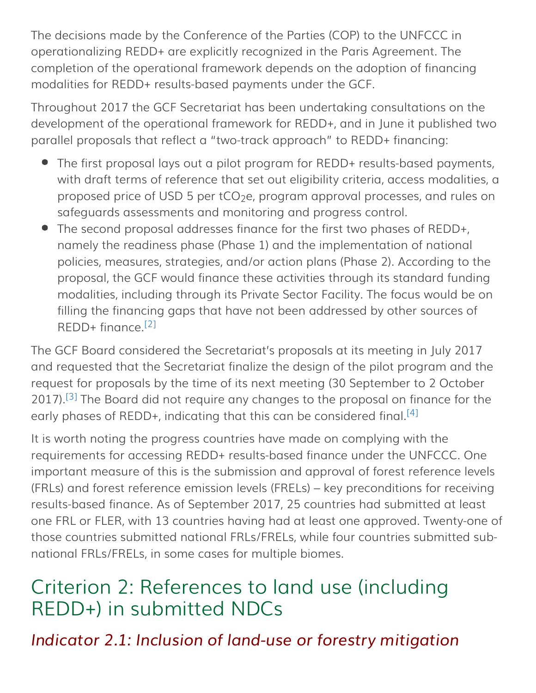The decisions made by the Conference of the Parties (COP) to the UNFCCC in operationalizing REDD+ are explicitly recognized in the Paris Agreement. The completion of the operational framework depends on the adoption of financing modalities for REDD+ results-based payments under the GCF.

Throughout 2017 the GCF Secretariat has been undertaking consultations on the development of the operational framework for REDD+, and in June it published two parallel proposals that reflect a "two-track approach" to REDD+ financing:

- The first proposal lays out a pilot program for REDD+ results-based payments, with draft terms of reference that set out eligibility criteria, access modalities, a proposed price of USD 5 per tCO<sub>2</sub>e, program approval processes, and rules on safeguards assessments and monitoring and progress control.
- The second proposal addresses finance for the first two phases of REDD+, namely the readiness phase (Phase 1) and the implementation of national policies, measures, strategies, and/or action plans (Phase 2). According to the proposal, the GCF would finance these activities through its standard funding modalities, including through its Private Sector Facility. The focus would be on filling the financing gaps that have not been addressed by other sources of REDD+ finance. [\[2\]](#page-3-1)

<span id="page-2-1"></span><span id="page-2-0"></span>The GCF Board considered the Secretariat's proposals at its meeting in July 2017 and requested that the Secretariat finalize the design of the pilot program and the request for proposals by the time of its next meeting (30 September to 2 October 2017).<sup>[\[3\]](#page-4-1)</sup> The Board did not require any changes to the proposal on finance for the early phases of REDD+, indicating that this can be considered final.<sup>[\[4\]](#page-4-2)</sup>

<span id="page-2-2"></span>It is worth noting the progress countries have made on complying with the requirements for accessing REDD+ results-based finance under the UNFCCC. One important measure of this is the submission and approval of forest reference levels (FRLs) and forest reference emission levels (FRELs) – key preconditions for receiving results-based finance. As of September 2017, 25 countries had submitted at least one FRL or FLER, with 13 countries having had at least one approved. Twenty-one of those countries submitted national FRLs/FRELs, while four countries submitted subnational FRLs/FRELs, in some cases for multiple biomes.

## Criterion 2: References to land use (including REDD+) in submitted NDCs

*Indicator 2.1: Inclusion of land-use or forestry mitigation*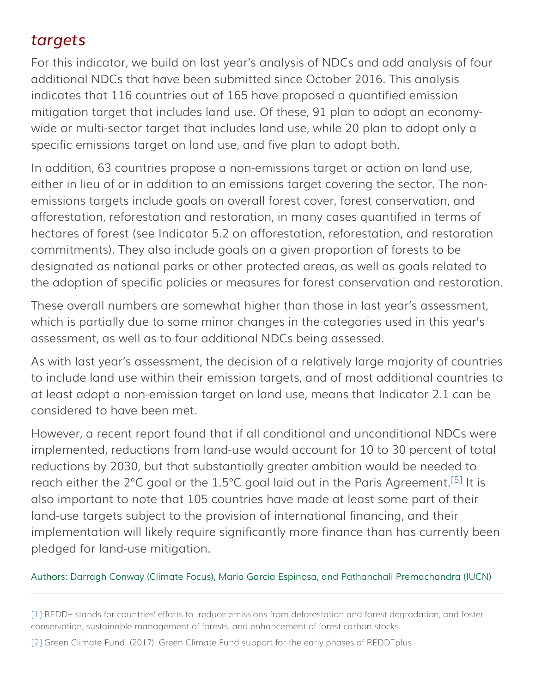### <span id="page-3-0"></span>*targets*

For this indicator, we build on last year's analysis of NDCs and add analysis of four additional NDCs that have been submitted since October 2016. This analysis indicates that 116 countries out of 165 have proposed a quantified emission mitigation target that includes land use. Of these, 91 plan to adopt an economywide or multi-sector target that includes land use, while 20 plan to adopt only a specific emissions target on land use, and five plan to adopt both.

In addition, 63 countries propose a non-emissions target or action on land use, either in lieu of or in addition to an emissions target covering the sector. The nonemissions targets include goals on overall forest cover, forest conservation, and afforestation, reforestation and restoration, in many cases quantified in terms of hectares of forest (see Indicator 5.2 on afforestation, reforestation, and restoration commitments). They also include goals on a given proportion of forests to be designated as national parks or other protected areas, as well as goals related to the adoption of specific policies or measures for forest conservation and restoration.

These overall numbers are somewhat higher than those in last year's assessment, which is partially due to some minor changes in the categories used in this year's assessment, as well as to four additional NDCs being assessed.

As with last year's assessment, the decision of a relatively large majority of countries to include land use within their emission targets, and of most additional countries to at least adopt a non-emission target on land use, means that Indicator 2.1 can be considered to have been met.

<span id="page-3-2"></span>However, a recent report found that if all conditional and unconditional NDCs were implemented, reductions from land-use would account for 10 to 30 percent of total reductions by 2030, but that substantially greater ambition would be needed to reach either the 2°C goal or the 1.5°C goal laid out in the Paris Agreement.<sup>[\[5\]](#page-4-3)</sup> It is also important to note that 105 countries have made at least some part of their land-use targets subject to the provision of international financing, and their implementation will likely require significantly more finance than has currently been pledged for land-use mitigation.

#### Authors: Darragh Conway (Climate Focus), Maria Garcia Espinosa, and Pathanchali Premachandra (IUCN)

[\[1\]](#page-0-0) REDD+ stands for countries' efforts to reduce emissions from deforestation and forest degradation, and foster conservation, sustainable management of forests, and enhancement of forest carbon stocks.

<span id="page-3-1"></span>[\[2\]](#page-2-0) Green Climate Fund. (2017). Green Climate Fund support for the early phases of REDD<sup>-</sup>plus.